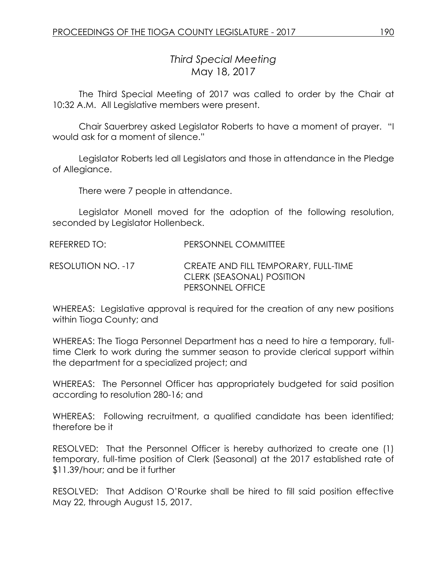## *Third Special Meeting* May 18, 2017

The Third Special Meeting of 2017 was called to order by the Chair at 10:32 A.M. All Legislative members were present.

Chair Sauerbrey asked Legislator Roberts to have a moment of prayer. "I would ask for a moment of silence."

Legislator Roberts led all Legislators and those in attendance in the Pledge of Allegiance.

There were 7 people in attendance.

Legislator Monell moved for the adoption of the following resolution, seconded by Legislator Hollenbeck.

REFERRED TO: PERSONNEL COMMITTEE

RESOLUTION NO. -17 CREATE AND FILL TEMPORARY, FULL-TIME CLERK (SEASONAL) POSITION PERSONNEL OFFICE

WHEREAS: Legislative approval is required for the creation of any new positions within Tioga County; and

WHEREAS: The Tioga Personnel Department has a need to hire a temporary, fulltime Clerk to work during the summer season to provide clerical support within the department for a specialized project; and

WHEREAS: The Personnel Officer has appropriately budgeted for said position according to resolution 280-16; and

WHEREAS: Following recruitment, a qualified candidate has been identified; therefore be it

RESOLVED: That the Personnel Officer is hereby authorized to create one (1) temporary, full-time position of Clerk (Seasonal) at the 2017 established rate of \$11.39/hour; and be it further

RESOLVED: That Addison O'Rourke shall be hired to fill said position effective May 22, through August 15, 2017.